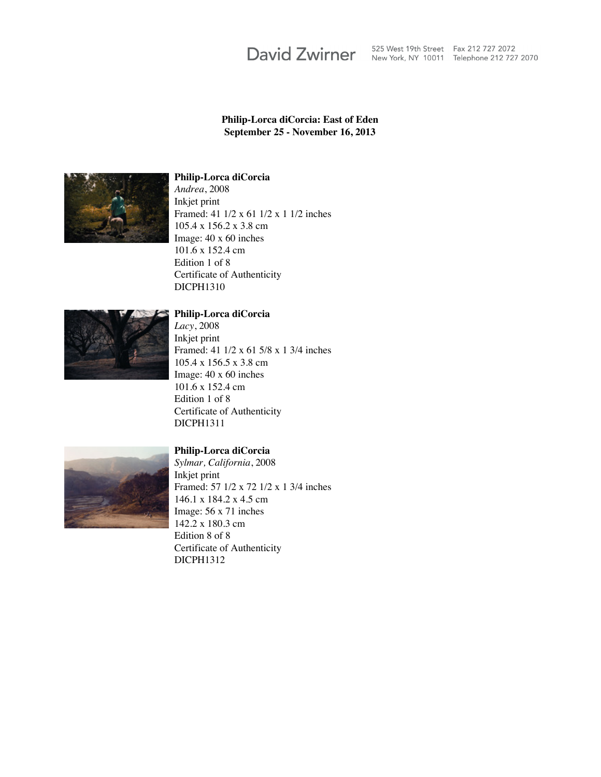# **David Zwirner**

525 West 19th Street Fax 212 727 2072<br>New York, NY 10011 Telephone 212 727 2070

# **Philip-Lorca diCorcia: East of Eden September 25 - November 16, 2013**



#### **Philip-Lorca diCorcia**

*Andrea*, 2008 Inkjet print Framed: 41 1/2 x 61 1/2 x 1 1/2 inches 105.4 x 156.2 x 3.8 cm Image: 40 x 60 inches 101.6 x 152.4 cm Edition 1 of 8 Certificate of Authenticity DICPH1310



### **Philip-Lorca diCorcia**

*Lacy*, 2008 Inkjet print Framed: 41 1/2 x 61 5/8 x 1 3/4 inches 105.4 x 156.5 x 3.8 cm Image: 40 x 60 inches 101.6 x 152.4 cm Edition 1 of 8 Certificate of Authenticity DICPH1311



#### **Philip-Lorca diCorcia**

*Sylmar, California*, 2008 Inkjet print Framed: 57 1/2 x 72 1/2 x 1 3/4 inches 146.1 x 184.2 x 4.5 cm Image: 56 x 71 inches 142.2 x 180.3 cm Edition 8 of 8 Certificate of Authenticity DICPH1312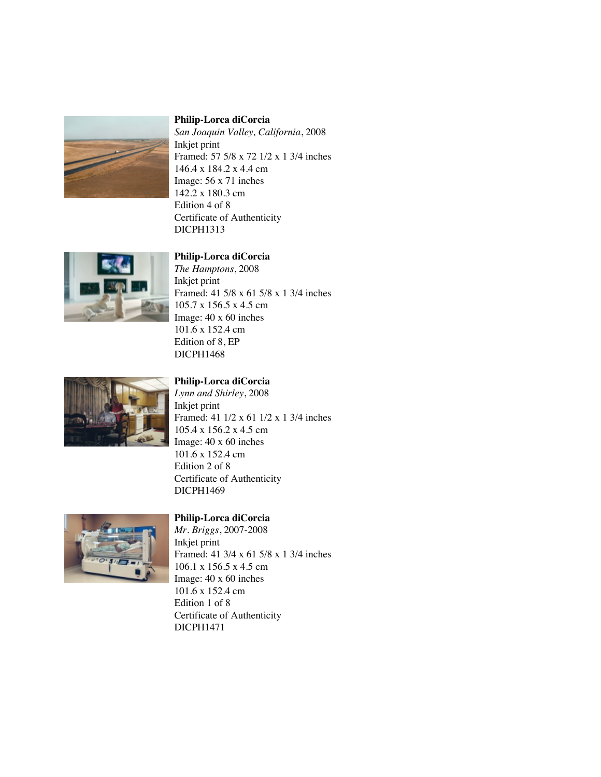

*San Joaquin Valley, California*, 2008 Inkjet print Framed: 57 5/8 x 72 1/2 x 1 3/4 inches 146.4 x 184.2 x 4.4 cm Image: 56 x 71 inches 142.2 x 180.3 cm Edition 4 of 8 Certificate of Authenticity DICPH1313



# **Philip-Lorca diCorcia**

*The Hamptons*, 2008 Inkjet print Framed: 41 5/8 x 61 5/8 x 1 3/4 inches 105.7 x 156.5 x 4.5 cm Image: 40 x 60 inches 101.6 x 152.4 cm Edition of 8, EP DICPH1468



# **Philip-Lorca diCorcia**

*Lynn and Shirley*, 2008 Inkjet print Framed: 41 1/2 x 61 1/2 x 1 3/4 inches 105.4 x 156.2 x 4.5 cm Image: 40 x 60 inches 101.6 x 152.4 cm Edition 2 of 8 Certificate of Authenticity DICPH1469



# **Philip-Lorca diCorcia**

*Mr. Briggs*, 2007-2008 Inkjet print Framed: 41 3/4 x 61 5/8 x 1 3/4 inches 106.1 x 156.5 x 4.5 cm Image: 40 x 60 inches 101.6 x 152.4 cm Edition 1 of 8 Certificate of Authenticity DICPH1471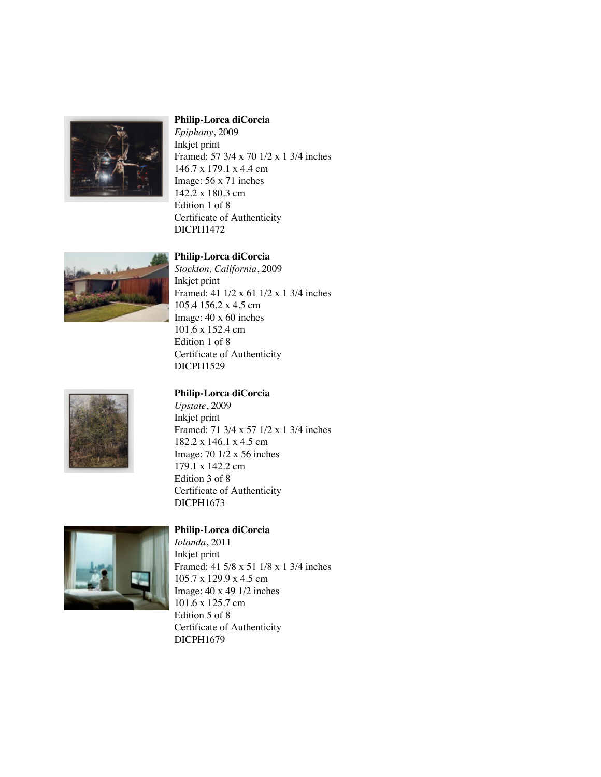

*Epiphany*, 2009 Inkjet print Framed: 57 3/4 x 70 1/2 x 1 3/4 inches 146.7 x 179.1 x 4.4 cm Image: 56 x 71 inches 142.2 x 180.3 cm Edition 1 of 8 Certificate of Authenticity DICPH1472



# **Philip-Lorca diCorcia**

*Stockton, California*, 2009 Inkjet print Framed: 41 1/2 x 61 1/2 x 1 3/4 inches 105.4 156.2 x 4.5 cm Image: 40 x 60 inches 101.6 x 152.4 cm Edition 1 of 8 Certificate of Authenticity DICPH1529



#### **Philip-Lorca diCorcia**

*Upstate*, 2009 Inkjet print Framed: 71 3/4 x 57 1/2 x 1 3/4 inches 182.2 x 146.1 x 4.5 cm Image: 70 1/2 x 56 inches 179.1 x 142.2 cm Edition 3 of 8 Certificate of Authenticity DICPH1673



#### **Philip-Lorca diCorcia**

*Iolanda*, 2011 Inkjet print Framed: 41 5/8 x 51 1/8 x 1 3/4 inches 105.7 x 129.9 x 4.5 cm Image: 40 x 49 1/2 inches 101.6 x 125.7 cm Edition 5 of 8 Certificate of Authenticity DICPH1679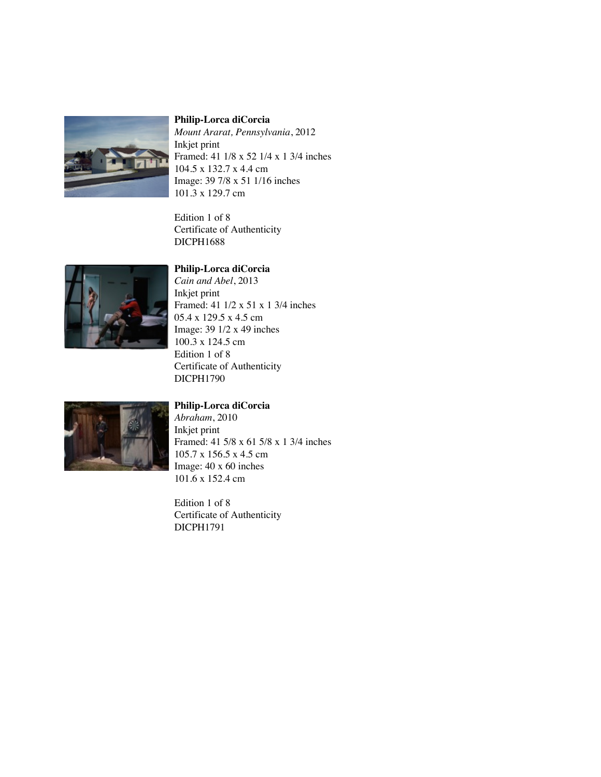

*Mount Ararat, Pennsylvania*, 2012 Inkjet print Framed: 41 1/8 x 52 1/4 x 1 3/4 inches 104.5 x 132.7 x 4.4 cm Image: 39 7/8 x 51 1/16 inches 101.3 x 129.7 cm

Edition 1 of 8 Certificate of Authenticity DICPH1688



#### **Philip-Lorca diCorcia**

*Cain and Abel*, 2013 Inkjet print Framed: 41 1/2 x 51 x 1 3/4 inches 05.4 x 129.5 x 4.5 cm Image: 39 1/2 x 49 inches 100.3 x 124.5 cm Edition 1 of 8 Certificate of Authenticity DICPH1790



# **Philip-Lorca diCorcia**

*Abraham*, 2010 Inkjet print Framed: 41 5/8 x 61 5/8 x 1 3/4 inches 105.7 x 156.5 x 4.5 cm Image: 40 x 60 inches 101.6 x 152.4 cm

Edition 1 of 8 Certificate of Authenticity DICPH1791